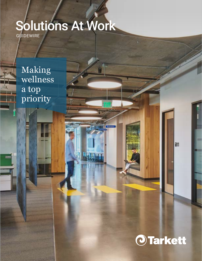# GUIDEWIRE Solutions At Work

Making wellness a top priority



廻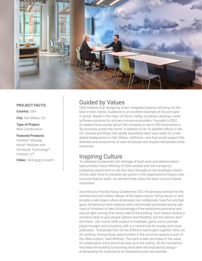

#### **PROJECT FACTS:**

**Country:** USA

**City:** San Mateo, CA

#### **Type of Project:** New Construction

### **Featured Products:**

FlexAire® Modular, ethos® Modular with Omnicoat Technology®, Contour LVT

**Video:** Click [here](https://vimeo.com/444905958) to watch

### Guided by Values

DWA believes that designing smart integrated spaces will bring out the best in their clients. Guidewire is an excellent example of this principle in action. Based in the heart of Silicon Valley, Guidewire develops niche software solutions for primary insurance providers. Founded in 2001, its leaders have quickly grown the company to serve 350 businesses in 30 countries across the world. In addition to its 10 satellite offices in the US, Canada and Brazil, the rapidly expanding team was ready for a new global headquarters in San Mateo, California—one that would support the wellness and productivity of each employee and respect the planet's finite resources.

### Inspiring Culture

To celebrate Guidewire's rich heritage of hard work and determination, lead architect David Whitney of DWA worked with the company's marketing department to tell that story throughout the building's interior. Artists were hired to translate key points in the organization's history onto concrete feature walls—an element that unites the team around shared successes.

According to Priscilla Hung, Guidewire's COO, the primary concept for the architectural and interior design of the space was to "bring nature in" and provide a safe space where employees can collaborate, have fun and feel good. All personal work stations were intentionally positioned along vast rows of windows to take full advantage of the expansive panorama and natural light coming from every side of the building. Each station boasts a sit/stand desk to give people options and flexibility, but the options don't end there. Zen rooms offer a place to meditate, game rooms provide playful escape, and a buzzing café is a central hub for energy and crosspollination. "Everybody from all the different teams gets together there, so it's working. Having those opportunities in the common spaces is part of the office culture," said Whitney. The team is also reminded of the value of collaboration every time they look up to the ceiling. All the mechanics that keep the building functioning have been left exposed by design emphasizing the importance of intersecting with one another.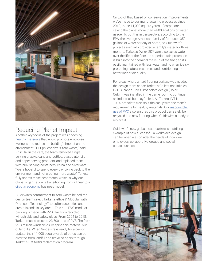

## Reducing Planet Impact

Another key focus of the project was choosing [healthy materials](https://commercial.tarkett.com/en_US/node/good-materials-10119) that would promote employee wellness and reduce the building's impact on the environment. "Our philosophy is zero waste," said Priscilla. In the café, the team removed single serving snacks, cans and bottles, plastic utensils and paper serving products, and replaced them with bulk serving containers, china and silverware. "We're hopeful to spend every day giving back to the environment and not creating more waste." Tarkett fully shares these sentiments, which is why our global organization is transitioning from a linear to a [circular economy](https://commercial.tarkett.com/en_US/node/circular-economy-10065) business model.

Guidewire's commitment to zero waste helped the design team select Tarkett's ethos® Modular with Omnicoat Technology™ to soften acoustics and create islands in key areas. This non-PVC modular backing is made with PVB film from recycled windshields and safety glass. From 2004 to 2018, Tarkett reused close to 23,500 tons of PVB film from 22.8 million windshields, keeping this material out of landfills. When Guidewire is ready for a design update, their 11,000 square yards of ethos can be diverted from landfill and recycled again through Tarkett's ReStart® reclamation program.

On top of that, based on conservation improvements we've made to our manufacturing processes since 2010, those 11,000 square yards of carpet are saving the planet more than 44,000 gallons of water usage. To put this in perspective, according to the EPA, the average American family of four uses 352 gallons of water per day at home, so Guidewire's project essentially provided a family's water for three months. Tarkett's Dynex SD® yarn also saves water over the life of the floor. Its superior stain protection is built into the chemical makeup of the fiber, so it's easily maintained with less water and no chemicals protecting natural resources and contributing to better indoor air quality.

For areas where a hard flooring surface was needed, the design team chose Tarkett's Collections Infinies LVT. Suzanne Tick's Broadcloth design (Color: Cutch) was installed in the game room to continue an industrial, but playful feel. All Tarkett LVT is 100% phthalate-free, so it fits easily with the team's requirements for healthy materials. Our [responsible](https://commercial.tarkett.com/en_US/node/responsible-use-pvc-flooring-10123)  [use of PVC](https://commercial.tarkett.com/en_US/node/responsible-use-pvc-flooring-10123) also ensures this product can safely be recycled into new flooring when Guidewire is ready to replace it.

Guidewire's new global headquarters is a striking example of how successful a workplace design can be when we consider the needs of individual employees, collaborative groups and social consciousness.